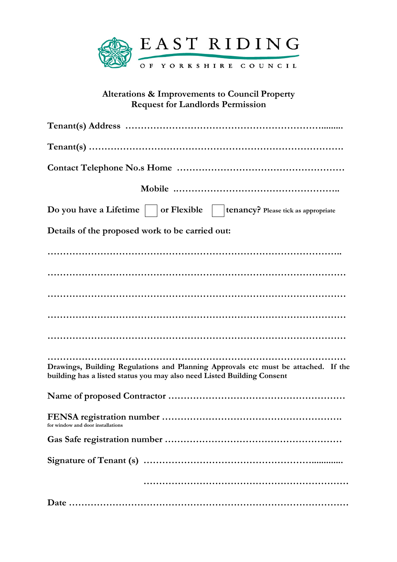

## Alterations & Improvements to Council Property Request for Landlords Permission

| Do you have a Lifetime $\vert \ \vert$ or Flexible $\ \vert$<br>tenancy? Please tick as appropriate                                                          |
|--------------------------------------------------------------------------------------------------------------------------------------------------------------|
| Details of the proposed work to be carried out:                                                                                                              |
|                                                                                                                                                              |
|                                                                                                                                                              |
|                                                                                                                                                              |
|                                                                                                                                                              |
|                                                                                                                                                              |
| Drawings, Building Regulations and Planning Approvals etc must be attached. If the<br>building has a listed status you may also need Listed Building Consent |
|                                                                                                                                                              |
| for window and door installations                                                                                                                            |
|                                                                                                                                                              |
|                                                                                                                                                              |
|                                                                                                                                                              |
|                                                                                                                                                              |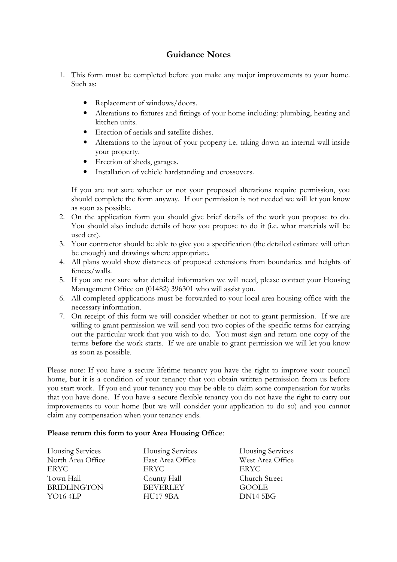## Guidance Notes

- 1. This form must be completed before you make any major improvements to your home. Such as:
	- Replacement of windows/doors.
	- Alterations to fixtures and fittings of your home including: plumbing, heating and kitchen units.
	- Erection of aerials and satellite dishes.
	- Alterations to the layout of your property i.e. taking down an internal wall inside your property.
	- Erection of sheds, garages.
	- Installation of vehicle hardstanding and crossovers.

 If you are not sure whether or not your proposed alterations require permission, you should complete the form anyway. If our permission is not needed we will let you know as soon as possible.

- 2. On the application form you should give brief details of the work you propose to do. You should also include details of how you propose to do it (i.e. what materials will be used etc).
- 3. Your contractor should be able to give you a specification (the detailed estimate will often be enough) and drawings where appropriate.
- 4. All plans would show distances of proposed extensions from boundaries and heights of fences/walls.
- 5. If you are not sure what detailed information we will need, please contact your Housing Management Office on (01482) 396301 who will assist you.
- 6. All completed applications must be forwarded to your local area housing office with the necessary information.
- 7. On receipt of this form we will consider whether or not to grant permission. If we are willing to grant permission we will send you two copies of the specific terms for carrying out the particular work that you wish to do. You must sign and return one copy of the terms before the work starts. If we are unable to grant permission we will let you know as soon as possible.

Please note: If you have a secure lifetime tenancy you have the right to improve your council home, but it is a condition of your tenancy that you obtain written permission from us before you start work. If you end your tenancy you may be able to claim some compensation for works that you have done. If you have a secure flexible tenancy you do not have the right to carry out improvements to your home (but we will consider your application to do so) and you cannot claim any compensation when your tenancy ends.

## Please return this form to your Area Housing Office:

| <b>Housing Services</b> | <b>Housing Services</b> | <b>Housing Services</b> |
|-------------------------|-------------------------|-------------------------|
| North Area Office       | East Area Office        | West Area Office        |
| ERYC                    | ERYC                    | ERYC                    |
| Town Hall               | County Hall             | Church Street           |
| <b>BRIDLINGTON</b>      | <b>BEVERLEY</b>         | GOOLE                   |
| YO $164LP$              | <b>HU17 9BA</b>         | DN145BG                 |